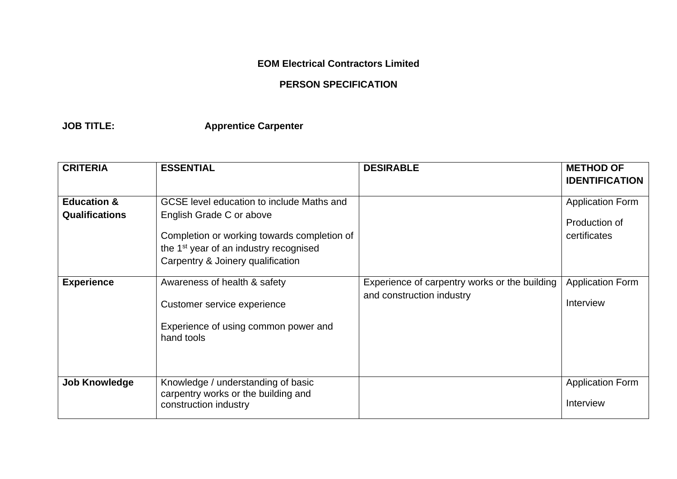## **EOM Electrical Contractors Limited**

## **PERSON SPECIFICATION**

**JOB TITLE: Apprentice Carpenter**

| <b>CRITERIA</b>        | <b>ESSENTIAL</b>                                                                                                                       | <b>DESIRABLE</b>                              | <b>METHOD OF</b>                     |
|------------------------|----------------------------------------------------------------------------------------------------------------------------------------|-----------------------------------------------|--------------------------------------|
|                        |                                                                                                                                        |                                               | <b>IDENTIFICATION</b>                |
| <b>Education &amp;</b> | GCSE level education to include Maths and                                                                                              |                                               | <b>Application Form</b>              |
| <b>Qualifications</b>  | English Grade C or above                                                                                                               |                                               |                                      |
|                        | Completion or working towards completion of<br>the 1 <sup>st</sup> year of an industry recognised<br>Carpentry & Joinery qualification |                                               | Production of<br>certificates        |
| <b>Experience</b>      | Awareness of health & safety                                                                                                           | Experience of carpentry works or the building | <b>Application Form</b>              |
|                        | Customer service experience                                                                                                            | and construction industry                     | Interview                            |
|                        | Experience of using common power and<br>hand tools                                                                                     |                                               |                                      |
|                        |                                                                                                                                        |                                               |                                      |
| <b>Job Knowledge</b>   | Knowledge / understanding of basic<br>carpentry works or the building and<br>construction industry                                     |                                               | <b>Application Form</b><br>Interview |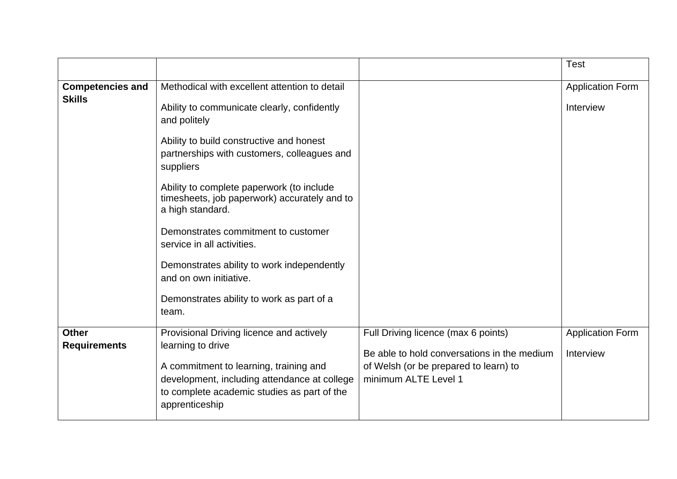|                                          |                                                                                                                                                                                                                                                                                                                                                                                                                                                                                                                                          |                                                                                                                                                     | <b>Test</b>                          |
|------------------------------------------|------------------------------------------------------------------------------------------------------------------------------------------------------------------------------------------------------------------------------------------------------------------------------------------------------------------------------------------------------------------------------------------------------------------------------------------------------------------------------------------------------------------------------------------|-----------------------------------------------------------------------------------------------------------------------------------------------------|--------------------------------------|
| <b>Competencies and</b><br><b>Skills</b> | Methodical with excellent attention to detail<br>Ability to communicate clearly, confidently<br>and politely<br>Ability to build constructive and honest<br>partnerships with customers, colleagues and<br>suppliers<br>Ability to complete paperwork (to include<br>timesheets, job paperwork) accurately and to<br>a high standard.<br>Demonstrates commitment to customer<br>service in all activities.<br>Demonstrates ability to work independently<br>and on own initiative.<br>Demonstrates ability to work as part of a<br>team. |                                                                                                                                                     | <b>Application Form</b><br>Interview |
| <b>Other</b><br><b>Requirements</b>      | Provisional Driving licence and actively<br>learning to drive<br>A commitment to learning, training and<br>development, including attendance at college<br>to complete academic studies as part of the<br>apprenticeship                                                                                                                                                                                                                                                                                                                 | Full Driving licence (max 6 points)<br>Be able to hold conversations in the medium<br>of Welsh (or be prepared to learn) to<br>minimum ALTE Level 1 | <b>Application Form</b><br>Interview |